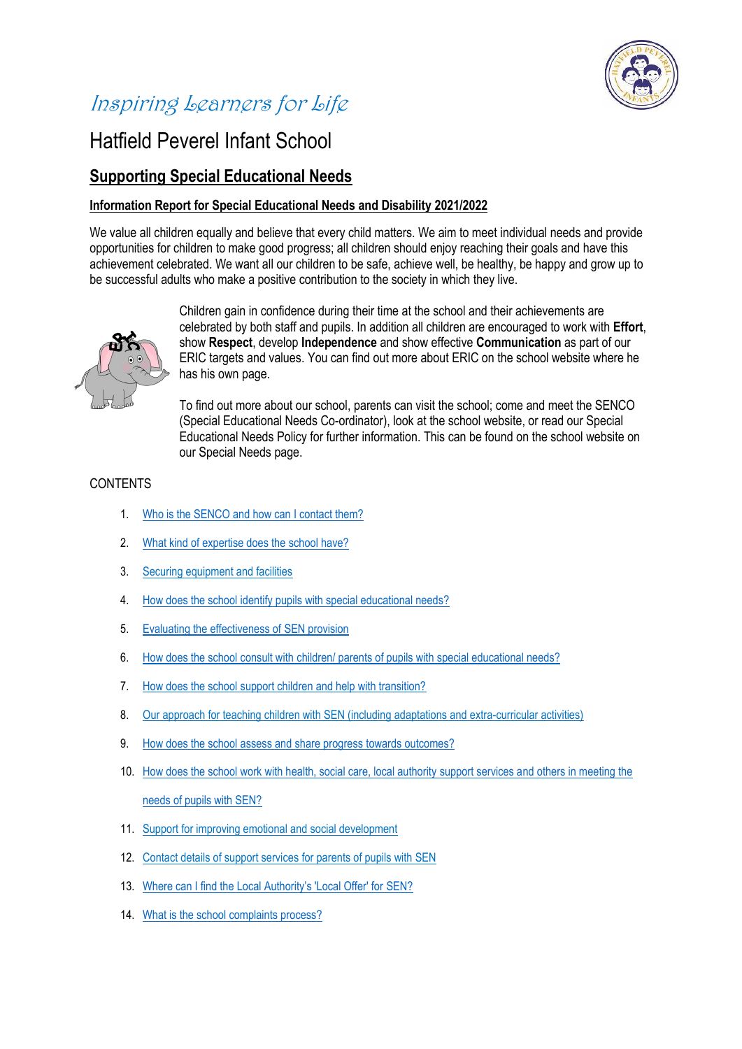

# Inspiring Learners for Life

## Hatfield Peverel Infant School

### **Supporting Special Educational Needs**

#### **Information Report for Special Educational Needs and Disability 2021/2022**

We value all children equally and believe that every child matters. We aim to meet individual needs and provide opportunities for children to make good progress; all children should enjoy reaching their goals and have this achievement celebrated. We want all our children to be safe, achieve well, be healthy, be happy and grow up to be successful adults who make a positive contribution to the society in which they live.



Children gain in confidence during their time at the school and their achievements are celebrated by both staff and pupils. In addition all children are encouraged to work with **Effort**, show **Respect**, develop **Independence** and show effective **Communication** as part of our ERIC targets and values. You can find out more about ERIC on the school website where he has his own page.

To find out more about our school, parents can visit the school; come and meet the SENCO (Special Educational Needs Co-ordinator), look at the school website, or read our Special Educational Needs Policy for further information. This can be found on the school website on our Special Needs page.

#### **CONTENTS**

- 1. Who is the SENCO [and how can I contact them?](#page-1-0)
- 2. [What kind of expertise does the school have?](#page-1-1)
- 3. Securing equipment and facilities
- 4. [How does the school identify pupils with special educational needs?](#page-2-0)
- 5. Evaluating the effectiveness of SEN provision
- 6. How does the school consult with children/ [parents of pupils with special educational needs?](#page-2-1)
- 7. [How does the school support children and help with transition?](#page-3-0)
- 8. Our approach for teaching children with SEN (including adaptations and extra-curricular activities)
- 9. [How does the school assess and share progress](#page-4-0) towards outcomes?
- 10. [How does the school work with health, social care, local authority support services and others in meeting the](#page-4-1)  [needs of pupils with SEN?](#page-4-1)
- 11. Support for improving emotional and social development
- 12. Contact details of support services for parents of pupils with SEN
- 13. [Where can I find the Local Authority's 'Local Offer' for](#page-5-0) SEN?
- 14. [What is the school complaints process?](#page-5-1)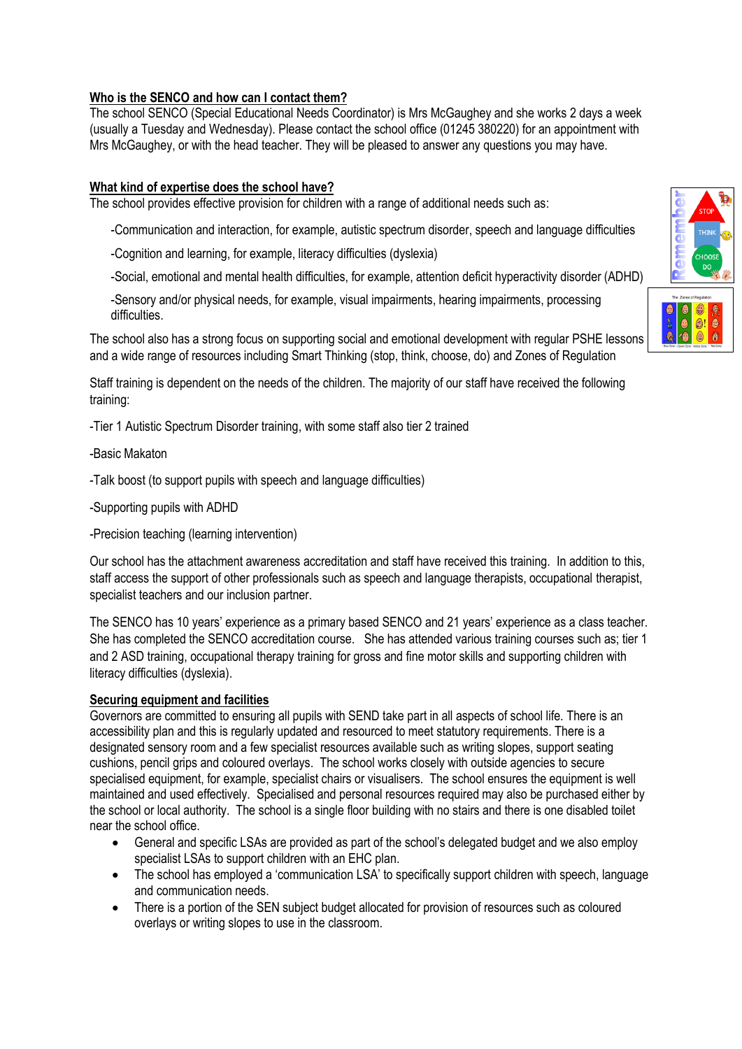#### <span id="page-1-0"></span>**Who is the SENCO and how can I contact them?**

The school SENCO (Special Educational Needs Coordinator) is Mrs McGaughey and she works 2 days a week (usually a Tuesday and Wednesday). Please contact the school office (01245 380220) for an appointment with Mrs McGaughey, or with the head teacher. They will be pleased to answer any questions you may have.

#### <span id="page-1-1"></span>**What kind of expertise does the school have?**

The school provides effective provision for children with a range of additional needs such as:

-Communication and interaction, for example, autistic spectrum disorder, speech and language difficulties

- -Cognition and learning, for example, literacy difficulties (dyslexia)
- -Social, emotional and mental health difficulties, for example, attention deficit hyperactivity disorder (ADHD)

-Sensory and/or physical needs, for example, visual impairments, hearing impairments, processing difficulties.

The school also has a strong focus on supporting social and emotional development with regular PSHE lessons and a wide range of resources including Smart Thinking (stop, think, choose, do) and Zones of Regulation

Staff training is dependent on the needs of the children. The majority of our staff have received the following training:

-Tier 1 Autistic Spectrum Disorder training, with some staff also tier 2 trained

#### -Basic Makaton

- -Talk boost (to support pupils with speech and language difficulties)
- -Supporting pupils with ADHD
- -Precision teaching (learning intervention)

Our school has the attachment awareness accreditation and staff have received this training. In addition to this, staff access the support of other professionals such as speech and language therapists, occupational therapist, specialist teachers and our inclusion partner.

The SENCO has 10 years' experience as a primary based SENCO and 21 years' experience as a class teacher. She has completed the SENCO accreditation course. She has attended various training courses such as; tier 1 and 2 ASD training, occupational therapy training for gross and fine motor skills and supporting children with literacy difficulties (dyslexia).

#### **Securing equipment and facilities**

Governors are committed to ensuring all pupils with SEND take part in all aspects of school life. There is an accessibility plan and this is regularly updated and resourced to meet statutory requirements. There is a designated sensory room and a few specialist resources available such as writing slopes, support seating cushions, pencil grips and coloured overlays. The school works closely with outside agencies to secure specialised equipment, for example, specialist chairs or visualisers. The school ensures the equipment is well maintained and used effectively. Specialised and personal resources required may also be purchased either by the school or local authority. The school is a single floor building with no stairs and there is one disabled toilet near the school office.

- General and specific LSAs are provided as part of the school's delegated budget and we also employ specialist LSAs to support children with an EHC plan.
- The school has employed a 'communication LSA' to specifically support children with speech, language and communication needs.
- There is a portion of the SEN subject budget allocated for provision of resources such as coloured overlays or writing slopes to use in the classroom.



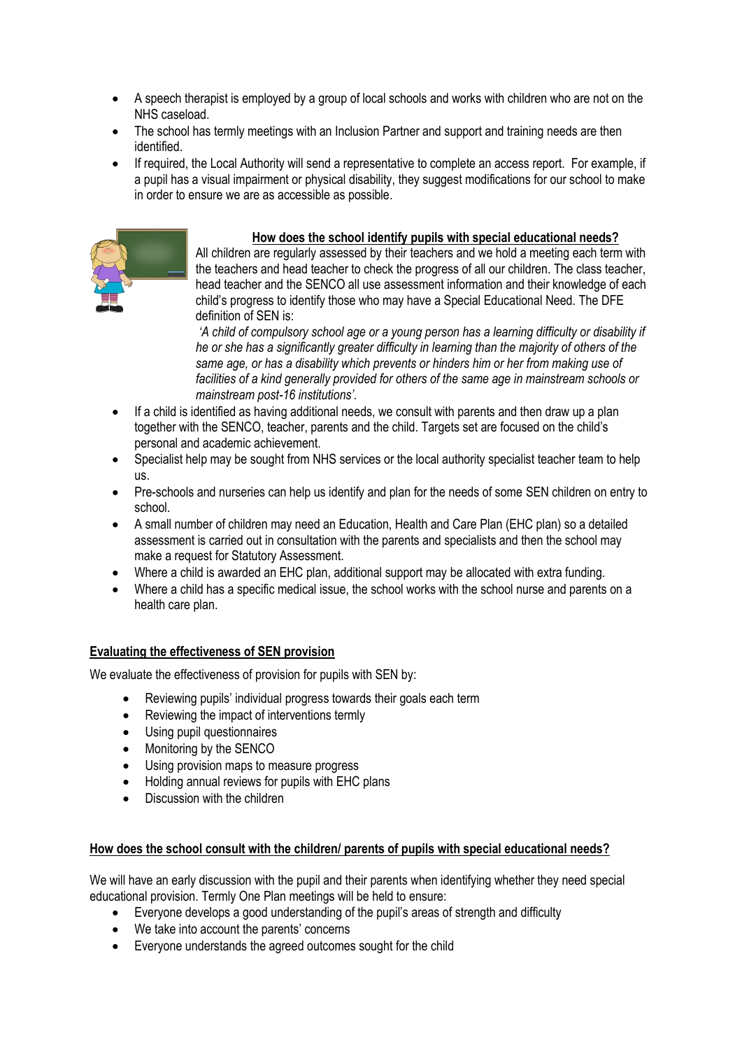- A speech therapist is employed by a group of local schools and works with children who are not on the NHS caseload.
- The school has termly meetings with an Inclusion Partner and support and training needs are then identified.
- If required, the Local Authority will send a representative to complete an access report. For example, if a pupil has a visual impairment or physical disability, they suggest modifications for our school to make in order to ensure we are as accessible as possible.



#### **How does the school identify pupils with special educational needs?**

<span id="page-2-0"></span>All children are regularly assessed by their teachers and we hold a meeting each term with the teachers and head teacher to check the progress of all our children. The class teacher, head teacher and the SENCO all use assessment information and their knowledge of each child's progress to identify those who may have a Special Educational Need. The DFE definition of SEN is:

*'A child of compulsory school age or a young person has a learning difficulty or disability if he or she has a significantly greater difficulty in learning than the majority of others of the same age, or has a disability which prevents or hinders him or her from making use of facilities of a kind generally provided for others of the same age in mainstream schools or mainstream post-16 institutions'.*

- If a child is identified as having additional needs, we consult with parents and then draw up a plan together with the SENCO, teacher, parents and the child. Targets set are focused on the child's personal and academic achievement.
- Specialist help may be sought from NHS services or the local authority specialist teacher team to help us.
- Pre-schools and nurseries can help us identify and plan for the needs of some SEN children on entry to school.
- A small number of children may need an Education, Health and Care Plan (EHC plan) so a detailed assessment is carried out in consultation with the parents and specialists and then the school may make a request for Statutory Assessment.
- Where a child is awarded an EHC plan, additional support may be allocated with extra funding.
- Where a child has a specific medical issue, the school works with the school nurse and parents on a health care plan.

#### **Evaluating the effectiveness of SEN provision**

We evaluate the effectiveness of provision for pupils with SEN by:

- Reviewing pupils' individual progress towards their goals each term
- Reviewing the impact of interventions termly
- Using pupil questionnaires
- Monitoring by the SENCO
- Using provision maps to measure progress
- Holding annual reviews for pupils with EHC plans
- Discussion with the children

#### <span id="page-2-1"></span>**How does the school consult with the children/ parents of pupils with special educational needs?**

We will have an early discussion with the pupil and their parents when identifying whether they need special educational provision. Termly One Plan meetings will be held to ensure:

- Everyone develops a good understanding of the pupil's areas of strength and difficulty
- We take into account the parents' concerns
- Everyone understands the agreed outcomes sought for the child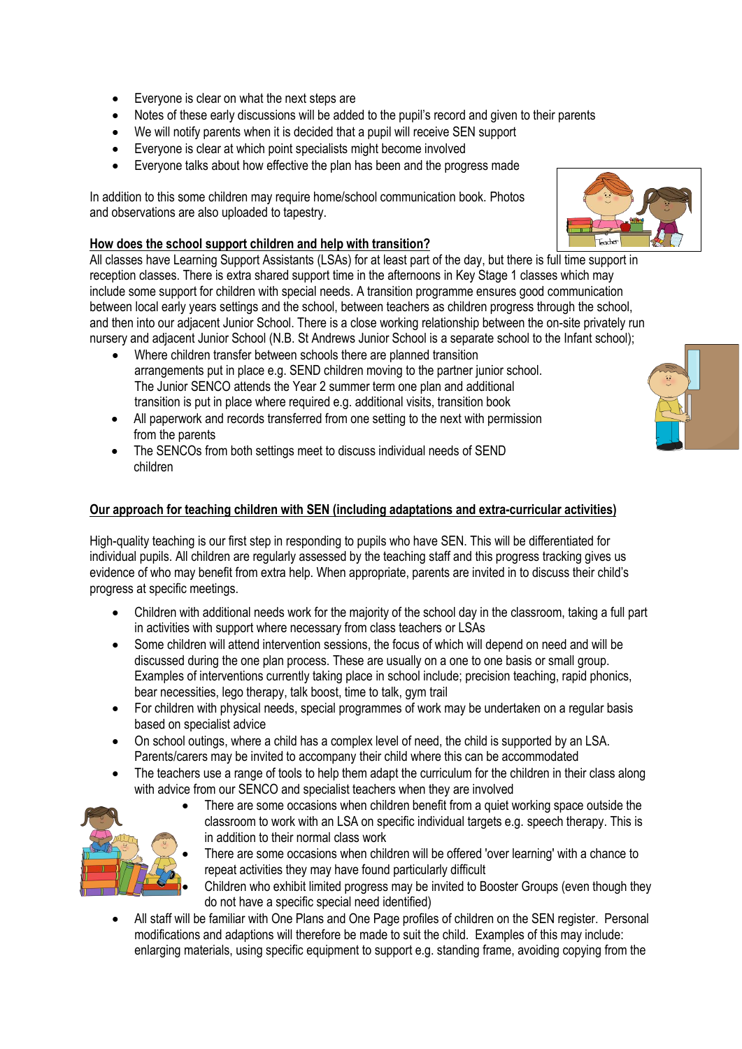- Everyone is clear on what the next steps are
- Notes of these early discussions will be added to the pupil's record and given to their parents
- We will notify parents when it is decided that a pupil will receive SEN support
- Everyone is clear at which point specialists might become involved
- Everyone talks about how effective the plan has been and the progress made

In addition to this some children may require home/school communication book. Photos and observations are also uploaded to tapestry.

#### <span id="page-3-0"></span>**How does the school support children and help with transition?**

All classes have Learning Support Assistants (LSAs) for at least part of the day, but there is full time support in reception classes. There is extra shared support time in the afternoons in Key Stage 1 classes which may include some support for children with special needs. A transition programme ensures good communication between local early years settings and the school, between teachers as children progress through the school, and then into our adjacent Junior School. There is a close working relationship between the on-site privately run nursery and adjacent Junior School (N.B. St Andrews Junior School is a separate school to the Infant school);

- Where children transfer between schools there are planned transition arrangements put in place e.g. SEND children moving to the partner junior school. The Junior SENCO attends the Year 2 summer term one plan and additional transition is put in place where required e.g. additional visits, transition book
- All paperwork and records transferred from one setting to the next with permission from the parents
- The SENCOs from both settings meet to discuss individual needs of SEND children

#### **Our approach for teaching children with SEN (including adaptations and extra-curricular activities)**

High-quality teaching is our first step in responding to pupils who have SEN. This will be differentiated for individual pupils. All children are regularly assessed by the teaching staff and this progress tracking gives us evidence of who may benefit from extra help. When appropriate, parents are invited in to discuss their child's progress at specific meetings.

- Children with additional needs work for the majority of the school day in the classroom, taking a full part in activities with support where necessary from class teachers or LSAs
- Some children will attend intervention sessions, the focus of which will depend on need and will be discussed during the one plan process. These are usually on a one to one basis or small group. Examples of interventions currently taking place in school include; precision teaching, rapid phonics, bear necessities, lego therapy, talk boost, time to talk, gym trail
- For children with physical needs, special programmes of work may be undertaken on a regular basis based on specialist advice
- On school outings, where a child has a complex level of need, the child is supported by an LSA. Parents/carers may be invited to accompany their child where this can be accommodated
- The teachers use a range of tools to help them adapt the curriculum for the children in their class along with advice from our SENCO and specialist teachers when they are involved



- There are some occasions when children benefit from a quiet working space outside the classroom to work with an LSA on specific individual targets e.g. speech therapy. This is in addition to their normal class work
- There are some occasions when children will be offered 'over learning' with a chance to repeat activities they may have found particularly difficult

 Children who exhibit limited progress may be invited to Booster Groups (even though they do not have a specific special need identified)

 All staff will be familiar with One Plans and One Page profiles of children on the SEN register. Personal modifications and adaptions will therefore be made to suit the child. Examples of this may include: enlarging materials, using specific equipment to support e.g. standing frame, avoiding copying from the



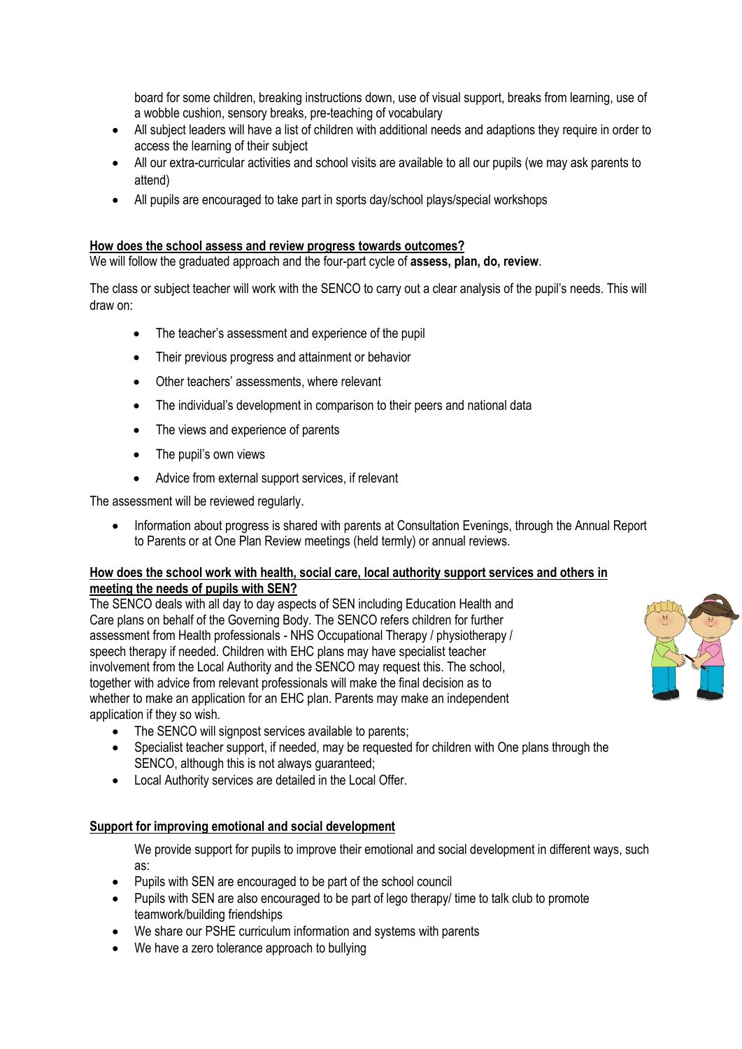board for some children, breaking instructions down, use of visual support, breaks from learning, use of a wobble cushion, sensory breaks, pre-teaching of vocabulary

- All subject leaders will have a list of children with additional needs and adaptions they require in order to access the learning of their subject
- All our extra-curricular activities and school visits are available to all our pupils (we may ask parents to attend)
- All pupils are encouraged to take part in sports day/school plays/special workshops

#### <span id="page-4-0"></span>**How does the school assess and review progress towards outcomes?**

We will follow the graduated approach and the four-part cycle of **assess, plan, do, review**.

The class or subject teacher will work with the SENCO to carry out a clear analysis of the pupil's needs. This will draw on:

- The teacher's assessment and experience of the pupil
- Their previous progress and attainment or behavior
- Other teachers' assessments, where relevant
- The individual's development in comparison to their peers and national data
- The views and experience of parents
- The pupil's own views
- Advice from external support services, if relevant

The assessment will be reviewed regularly.

 Information about progress is shared with parents at Consultation Evenings, through the Annual Report to Parents or at One Plan Review meetings (held termly) or annual reviews.

#### <span id="page-4-1"></span>**How does the school work with health, social care, local authority support services and others in meeting the needs of pupils with SEN?**

The SENCO deals with all day to day aspects of SEN including Education Health and Care plans on behalf of the Governing Body. The SENCO refers children for further assessment from Health professionals - NHS Occupational Therapy / physiotherapy / speech therapy if needed. Children with EHC plans may have specialist teacher involvement from the Local Authority and the SENCO may request this. The school, together with advice from relevant professionals will make the final decision as to whether to make an application for an EHC plan. Parents may make an independent application if they so wish.

- The SENCO will signpost services available to parents;
- Specialist teacher support, if needed, may be requested for children with One plans through the SENCO, although this is not always guaranteed;
- Local Authority services are detailed in the Local Offer.

#### **Support for improving emotional and social development**

We provide support for pupils to improve their emotional and social development in different ways, such as:

- Pupils with SEN are encouraged to be part of the school council
- Pupils with SEN are also encouraged to be part of lego therapy/ time to talk club to promote teamwork/building friendships
- We share our PSHE curriculum information and systems with parents
- We have a zero tolerance approach to bullying